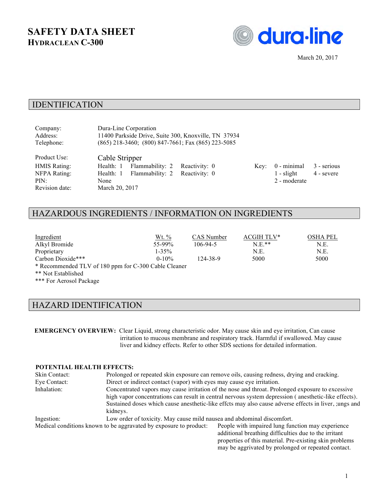# **SAFETY DATA SHEET HYDRACLEAN C-300**



March 20, 2017

#### IDENTIFICATION

| Company:            | Dura-Line Corporation                                |  |      |               |             |
|---------------------|------------------------------------------------------|--|------|---------------|-------------|
| Address:            | 11400 Parkside Drive, Suite 300, Knoxville, TN 37934 |  |      |               |             |
| Telephone:          | (865) 218-3460; (800) 847-7661; Fax (865) 223-5085   |  |      |               |             |
| Product Use:        | Cable Stripper                                       |  |      |               |             |
| <b>HMIS Rating:</b> | Flammability: 2 Reactivity: 0<br>Health: 1           |  | Key: | $0$ - minimal | 3 - serious |
| NFPA Rating:        | Health: 1 Flammability: 2 Reactivity: 0              |  |      | $1 -$ slight  | 4 - severe  |
| PIN:                | None                                                 |  |      | 2 - moderate  |             |
| Revision date:      | March 20, 2017                                       |  |      |               |             |
|                     |                                                      |  |      |               |             |

## HAZARDOUS INGREDIENTS / INFORMATION ON INGREDIENTS

| Ingredient                                           | Wt. %      | CAS Number | ACGIH TLV* | <b>OSHA PEL</b> |
|------------------------------------------------------|------------|------------|------------|-----------------|
| Alkyl Bromide                                        | $55-99\%$  | 106-94-5   | $N E**$    | N.E.            |
| Proprietary                                          | $1 - 35\%$ |            | N.E.       | N.E.            |
| Carbon Dioxide***                                    | $0-10%$    | 124-38-9   | 5000       | 5000            |
| * Recommended TLV of 180 ppm for C-300 Cable Cleaner |            |            |            |                 |
| ** Not Established                                   |            |            |            |                 |

\*\*\* For Aerosol Package

#### HAZARD IDENTIFICATION

**EMERGENCY OVERVIEW:** Clear Liquid, strong characteristic odor. May cause skin and eye irritation, Can cause irritation to mucous membrane and respiratory track. Harmful if swallowed. May cause liver and kidney effects. Refer to other SDS sections for detailed information.

#### **POTENTIAL HEALTH EFFECTS:**

Skin Contact: Prolonged or repeated skin exposure can remove oils, causing redness, drying and cracking. Eye Contact: Direct or indirect contact (vapor) with eyes may cause eye irritation. Inhalation: Concentrated vapors may cause irritation of the nose and throat. Prolonged exposure to excessive high vapor concentrations can result in central nervous system depression ( anesthetic-like effects). Sustained doses which cause anesthetic-like effcts may also cause adverse effects in liver, ;ungs and kidneys. Ingestion: Low order of toxicity. May cause mild nausea and abdominal discomfort. Medical conditions known to be aggravated by exposure to product: People with impaired lung function may experience additional breathing difficulties due to the irritant

properties of this material. Pre-existing skin problems may be aggrivated by prolonged or repeated contact.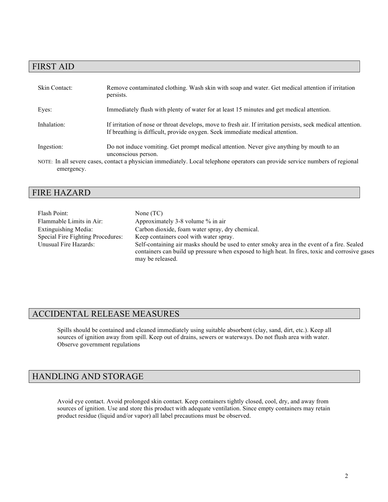## FIRST AID

| Skin Contact: | Remove contaminated clothing. Wash skin with soap and water. Get medical attention if irritation<br>persists.                                                                                |
|---------------|----------------------------------------------------------------------------------------------------------------------------------------------------------------------------------------------|
| Eyes:         | Immediately flush with plenty of water for at least 15 minutes and get medical attention.                                                                                                    |
| Inhalation:   | If irritation of nose or throat develops, move to fresh air. If irritation persists, seek medical attention.<br>If breathing is difficult, provide oxygen. Seek immediate medical attention. |
| Ingestion:    | Do not induce vomiting. Get prompt medical attention. Never give anything by mouth to an<br>unconscious person.                                                                              |
| emergency.    | NOTE: In all severe cases, contact a physician immediately. Local telephone operators can provide service numbers of regional                                                                |

### FIRE HAZARD

| Flash Point:                      | None $(TC)$                                                                                                                                                                                                        |
|-----------------------------------|--------------------------------------------------------------------------------------------------------------------------------------------------------------------------------------------------------------------|
| Flammable Limits in Air:          | Approximately 3-8 volume % in air                                                                                                                                                                                  |
| Extinguishing Media:              | Carbon dioxide, foam water spray, dry chemical.                                                                                                                                                                    |
| Special Fire Fighting Procedures: | Keep containers cool with water spray.                                                                                                                                                                             |
| Unusual Fire Hazards:             | Self-containing air masks should be used to enter smoky area in the event of a fire. Sealed<br>containers can build up pressure when exposed to high heat. In fires, toxic and corrosive gases<br>may be released. |

# ACCIDENTAL RELEASE MEASURES

Spills should be contained and cleaned immediately using suitable absorbent (clay, sand, dirt, etc.). Keep all sources of ignition away from spill. Keep out of drains, sewers or waterways. Do not flush area with water. Observe government regulations

## HANDLING AND STORAGE

Avoid eye contact. Avoid prolonged skin contact. Keep containers tightly closed, cool, dry, and away from sources of ignition. Use and store this product with adequate ventilation. Since empty containers may retain product residue (liquid and/or vapor) all label precautions must be observed.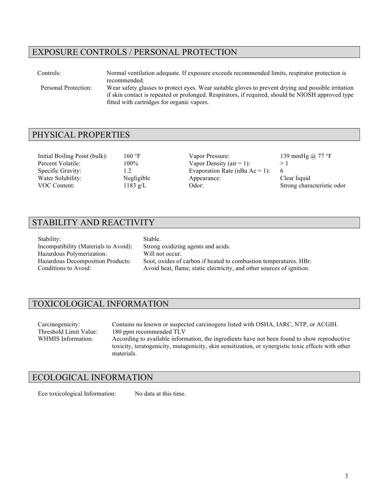## EXPOSURE CONTROLS / PERSONAL PROTECTION

Controls: Normal ventilation adequate. If exposure exceeds recommended limits, respirator protection is recommended. Personal Protection: Wear safety glasses to protect eyes. Wear suitable gloves to prevent drying and possible irritation if skin contact is repeated or prolonged. Respirators, if required, should be NIOSH approved type fitted with cartridges for organic vapors.

### PHYSICAL PROPERTIES

Initial Boiling Point (bulk): 160 °F Vapor Pressure: 139 mmHg @ 77 °F

Percent Volatile: 100% Vapor Density (air = 1): > 1 Specific Gravity: 1.2 Evaporation Rate (nBu Ac = 1): 6 Water Solubility: Negligible Appearance: Clear liquid Clear liquid VOC Content: 1183 g/L Clear Clear Clear Strong chara 1183 g/L Odor: Odor: Strong characteristic odor

## STABILITY AND REACTIVITY

| Stability:                            | Stable.                                                               |
|---------------------------------------|-----------------------------------------------------------------------|
| Incompatibility (Materials to Avoid): | Strong oxidizing agents and acids.                                    |
| Hazardous Polymerization:             | Will not occur.                                                       |
| Hazardous Decomposition Products:     | Soot, oxides of carbon if heated to combustion temperatures. HBr.     |
| Conditions to Avoid:                  | Avoid heat, flame, static electricity, and other sources of ignition. |

#### TOXICOLOGICAL INFORMATION

Carcinogenicity: Contains no known or suspected carcinogens listed with OSHA, IARC, NTP, or ACGIH. Threshold Limit Value: 180 ppm recommended TLV<br>WHMIS Information: According to available inform According to available information, the ingredients have not been found to show reproductive toxicity, teratogenicity, mutagenicity, skin sensitization, or synergistic toxic effects with other materials.

#### ECOLOGICAL INFORMATION

Eco toxicological Information: No data at this time.